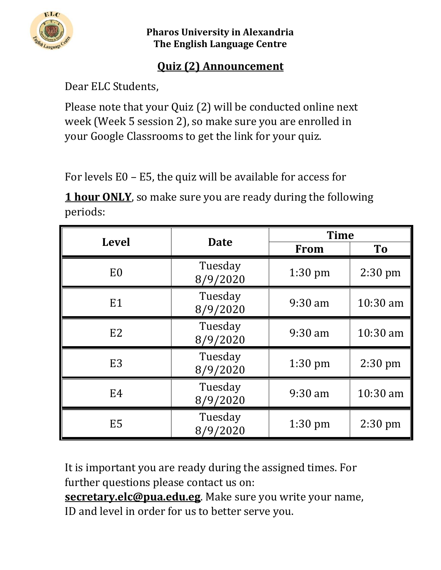

**Pharos University in Alexandria The English Language Centre**

## **Quiz (2) Announcement**

Dear ELC Students,

Please note that your Quiz (2) will be conducted online next week (Week 5 session 2), so make sure you are enrolled in your Google Classrooms to get the link for your quiz.

For levels E0 – E5, the quiz will be available for access for

**1 hour ONLY**, so make sure you are ready during the following periods:

| <b>Level</b>   | <b>Date</b>         | <b>Time</b> |           |
|----------------|---------------------|-------------|-----------|
|                |                     | <b>From</b> | To        |
| E <sub>0</sub> | Tuesday<br>8/9/2020 | $1:30$ pm   | $2:30$ pm |
| E1             | Tuesday<br>8/9/2020 | $9:30$ am   | 10:30 am  |
| E <sub>2</sub> | Tuesday<br>8/9/2020 | $9:30$ am   | 10:30 am  |
| E <sub>3</sub> | Tuesday<br>8/9/2020 | $1:30$ pm   | $2:30$ pm |
| E4             | Tuesday<br>8/9/2020 | $9:30$ am   | 10:30 am  |
| E <sub>5</sub> | Tuesday<br>8/9/2020 | $1:30$ pm   | $2:30$ pm |

It is important you are ready during the assigned times. For further questions please contact us on:

**[secretary.elc@pua.edu.eg](mailto:secretary.elc@pua.edu.eg)**. Make sure you write your name,

ID and level in order for us to better serve you.